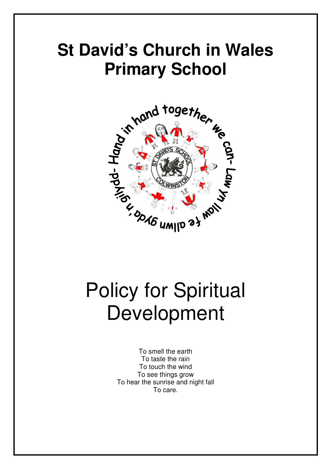## **St David's Church in Wales Primary School**



# Policy for Spiritual Development

To smell the earth To taste the rain To touch the wind To see things grow To hear the sunrise and night fall To care.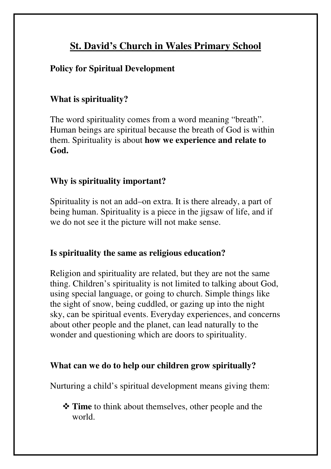### **St. David's Church in Wales Primary School**

#### **Policy for Spiritual Development**

#### **What is spirituality?**

The word spirituality comes from a word meaning "breath". Human beings are spiritual because the breath of God is within them. Spirituality is about **how we experience and relate to God.** 

#### **Why is spirituality important?**

Spirituality is not an add–on extra. It is there already, a part of being human. Spirituality is a piece in the jigsaw of life, and if we do not see it the picture will not make sense.

#### **Is spirituality the same as religious education?**

Religion and spirituality are related, but they are not the same thing. Children's spirituality is not limited to talking about God, using special language, or going to church. Simple things like the sight of snow, being cuddled, or gazing up into the night sky, can be spiritual events. Everyday experiences, and concerns about other people and the planet, can lead naturally to the wonder and questioning which are doors to spirituality.

#### **What can we do to help our children grow spiritually?**

Nurturing a child's spiritual development means giving them:

 **Time** to think about themselves, other people and the world.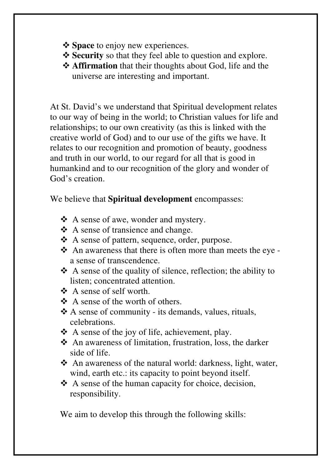- $\diamond$  **Space** to enjoy new experiences.
- $\diamondsuit$  **Security** so that they feel able to question and explore.
- **Affirmation** that their thoughts about God, life and the universe are interesting and important.

At St. David's we understand that Spiritual development relates to our way of being in the world; to Christian values for life and relationships; to our own creativity (as this is linked with the creative world of God) and to our use of the gifts we have. It relates to our recognition and promotion of beauty, goodness and truth in our world, to our regard for all that is good in humankind and to our recognition of the glory and wonder of God's creation.

We believe that **Spiritual development** encompasses:

- A sense of awe, wonder and mystery.
- A sense of transience and change.
- A sense of pattern, sequence, order, purpose.
- An awareness that there is often more than meets the eye a sense of transcendence.
- $\triangle$  A sense of the quality of silence, reflection; the ability to listen; concentrated attention.
- A sense of self worth.
- $\triangle$  A sense of the worth of others.
- A sense of community its demands, values, rituals, celebrations.
- \* A sense of the joy of life, achievement, play.
- An awareness of limitation, frustration, loss, the darker side of life.
- An awareness of the natural world: darkness, light, water, wind, earth etc.: its capacity to point beyond itself.
- $\triangle$  A sense of the human capacity for choice, decision, responsibility.

We aim to develop this through the following skills: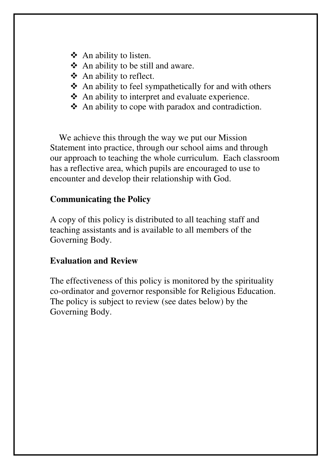- $\triangle$  An ability to listen.
- $\triangle$  An ability to be still and aware.
- ❖ An ability to reflect.
- $\triangle$  An ability to feel sympathetically for and with others
- An ability to interpret and evaluate experience.
- $\triangle$  An ability to cope with paradox and contradiction.

 We achieve this through the way we put our Mission Statement into practice, through our school aims and through our approach to teaching the whole curriculum. Each classroom has a reflective area, which pupils are encouraged to use to encounter and develop their relationship with God.

#### **Communicating the Policy**

A copy of this policy is distributed to all teaching staff and teaching assistants and is available to all members of the Governing Body.

#### **Evaluation and Review**

The effectiveness of this policy is monitored by the spirituality co-ordinator and governor responsible for Religious Education. The policy is subject to review (see dates below) by the Governing Body.